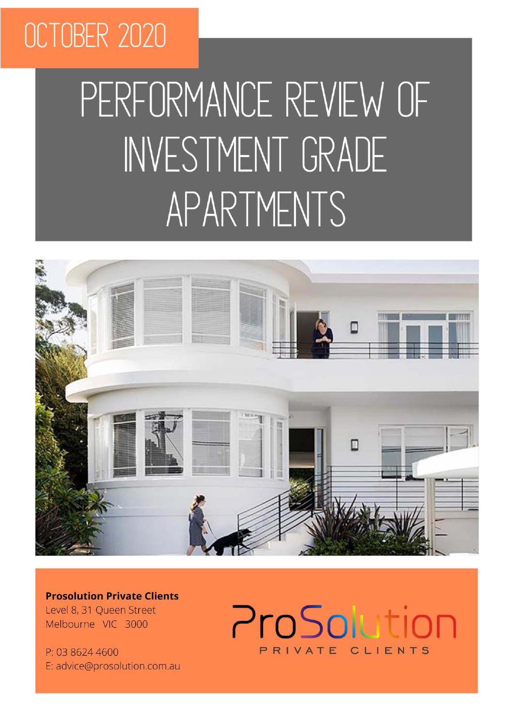# OCTOBER 2020

# PERFORMANCE REVIEW OF INVESTMENT GRADE APARTMENTS



**Prosolution Private Clients** Level 8, 31 Oueen Street Melbourne VIC 3000

P: 03 8624 4600 E: advice@prosolution.com.au

# ProSolution PRIVATE CLIENTS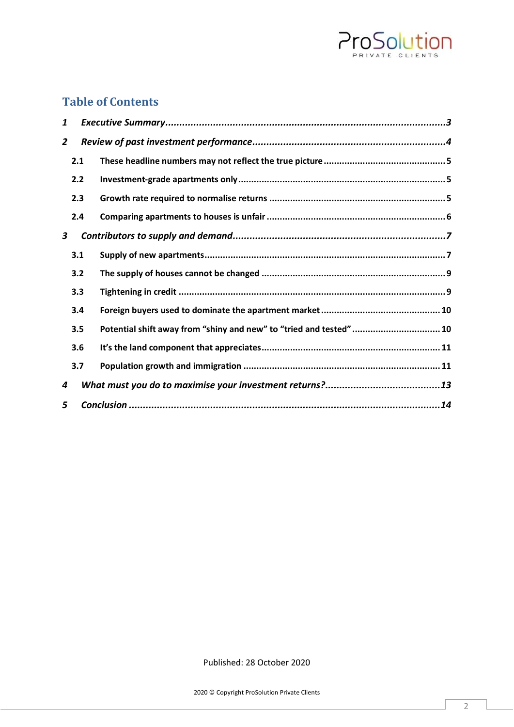

### **Table of Contents**

| 1              |     |                                                                    |  |
|----------------|-----|--------------------------------------------------------------------|--|
| $\overline{2}$ |     |                                                                    |  |
|                | 2.1 |                                                                    |  |
|                | 2.2 |                                                                    |  |
|                | 2.3 |                                                                    |  |
|                | 2.4 |                                                                    |  |
| 3              |     |                                                                    |  |
|                | 3.1 |                                                                    |  |
|                | 3.2 |                                                                    |  |
|                | 3.3 |                                                                    |  |
|                | 3.4 |                                                                    |  |
|                | 3.5 | Potential shift away from "shiny and new" to "tried and tested" 10 |  |
|                | 3.6 |                                                                    |  |
|                | 3.7 |                                                                    |  |
| 4              |     |                                                                    |  |
| 5              |     |                                                                    |  |

Published: 28 October 2020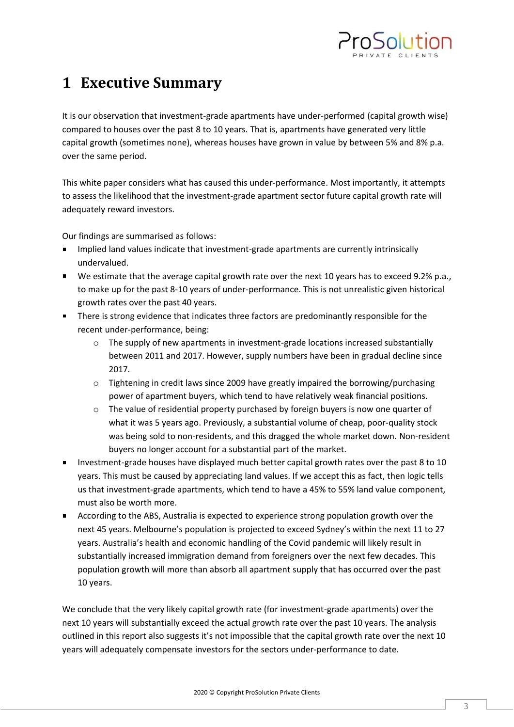

# <span id="page-2-0"></span>**1 Executive Summary**

It is our observation that investment-grade apartments have under-performed (capital growth wise) compared to houses over the past 8 to 10 years. That is, apartments have generated very little capital growth (sometimes none), whereas houses have grown in value by between 5% and 8% p.a. over the same period.

This white paper considers what has caused this under-performance. Most importantly, it attempts to assess the likelihood that the investment-grade apartment sector future capital growth rate will adequately reward investors.

Our findings are summarised as follows:

- Implied land values indicate that investment-grade apartments are currently intrinsically undervalued.
- We estimate that the average capital growth rate over the next 10 years has to exceed 9.2% p.a., to make up for the past 8-10 years of under-performance. This is not unrealistic given historical growth rates over the past 40 years.
- **There is strong evidence that indicates three factors are predominantly responsible for the** recent under-performance, being:
	- $\circ$  The supply of new apartments in investment-grade locations increased substantially between 2011 and 2017. However, supply numbers have been in gradual decline since 2017.
	- $\circ$  Tightening in credit laws since 2009 have greatly impaired the borrowing/purchasing power of apartment buyers, which tend to have relatively weak financial positions.
	- o The value of residential property purchased by foreign buyers is now one quarter of what it was 5 years ago. Previously, a substantial volume of cheap, poor-quality stock was being sold to non-residents, and this dragged the whole market down. Non-resident buyers no longer account for a substantial part of the market.
- Investment-grade houses have displayed much better capital growth rates over the past 8 to 10 years. This must be caused by appreciating land values. If we accept this as fact, then logic tells us that investment-grade apartments, which tend to have a 45% to 55% land value component, must also be worth more.
- According to the ABS, Australia is expected to experience strong population growth over the next 45 years. Melbourne's population is projected to exceed Sydney's within the next 11 to 27 years. Australia's health and economic handling of the Covid pandemic will likely result in substantially increased immigration demand from foreigners over the next few decades. This population growth will more than absorb all apartment supply that has occurred over the past 10 years.

We conclude that the very likely capital growth rate (for investment-grade apartments) over the next 10 years will substantially exceed the actual growth rate over the past 10 years. The analysis outlined in this report also suggests it's not impossible that the capital growth rate over the next 10 years will adequately compensate investors for the sectors under-performance to date.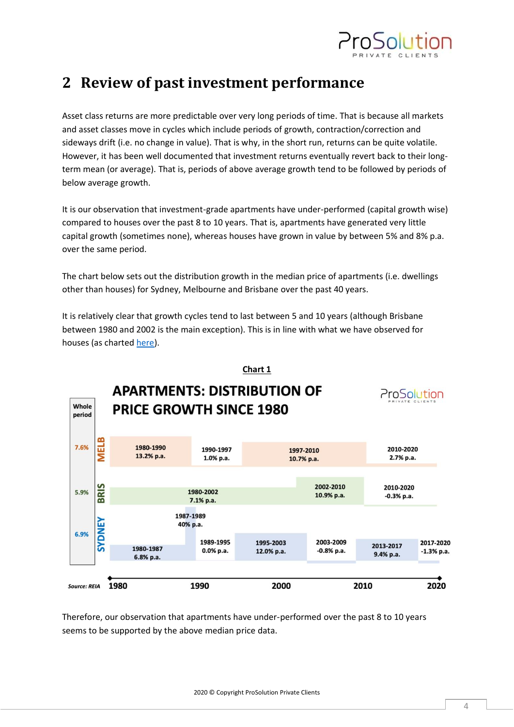

## <span id="page-3-0"></span>**2 Review of past investment performance**

Asset class returns are more predictable over very long periods of time. That is because all markets and asset classes move in cycles which include periods of growth, contraction/correction and sideways drift (i.e. no change in value). That is why, in the short run, returns can be quite volatile. However, it has been well documented that investment returns eventually revert back to their longterm mean (or average). That is, periods of above average growth tend to be followed by periods of below average growth.

It is our observation that investment-grade apartments have under-performed (capital growth wise) compared to houses over the past 8 to 10 years. That is, apartments have generated very little capital growth (sometimes none), whereas houses have grown in value by between 5% and 8% p.a. over the same period.

The chart below sets out the distribution growth in the median price of apartments (i.e. dwellings other than houses) for Sydney, Melbourne and Brisbane over the past 40 years.

It is relatively clear that growth cycles tend to last between 5 and 10 years (although Brisbane between 1980 and 2002 is the main exception). This is in line with what we have observed for houses (as charted [here\)](https://www.prosolution.com.au/understanding-property-growth/).



Therefore, our observation that apartments have under-performed over the past 8 to 10 years seems to be supported by the above median price data.

2020 © Copyright ProSolution Private Clients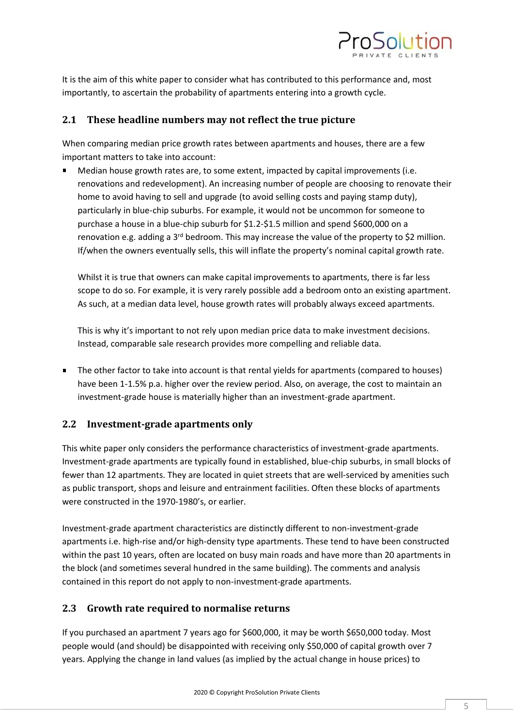

It is the aim of this white paper to consider what has contributed to this performance and, most importantly, to ascertain the probability of apartments entering into a growth cycle.

#### <span id="page-4-0"></span>**2.1 These headline numbers may not reflect the true picture**

When comparing median price growth rates between apartments and houses, there are a few important matters to take into account:

Median house growth rates are, to some extent, impacted by capital improvements (i.e. renovations and redevelopment). An increasing number of people are choosing to renovate their home to avoid having to sell and upgrade (to avoid selling costs and paying stamp duty), particularly in blue-chip suburbs. For example, it would not be uncommon for someone to purchase a house in a blue-chip suburb for \$1.2-\$1.5 million and spend \$600,000 on a renovation e.g. adding a  $3<sup>rd</sup>$  bedroom. This may increase the value of the property to \$2 million. If/when the owners eventually sells, this will inflate the property's nominal capital growth rate.

Whilst it is true that owners can make capital improvements to apartments, there is far less scope to do so. For example, it is very rarely possible add a bedroom onto an existing apartment. As such, at a median data level, house growth rates will probably always exceed apartments.

This is why it's important to not rely upon median price data to make investment decisions. Instead, comparable sale research provides more compelling and reliable data.

**The other factor to take into account is that rental yields for apartments (compared to houses)** have been 1-1.5% p.a. higher over the review period. Also, on average, the cost to maintain an investment-grade house is materially higher than an investment-grade apartment.

#### <span id="page-4-1"></span>**2.2 Investment-grade apartments only**

This white paper only considers the performance characteristics of investment-grade apartments. Investment-grade apartments are typically found in established, blue-chip suburbs, in small blocks of fewer than 12 apartments. They are located in quiet streets that are well-serviced by amenities such as public transport, shops and leisure and entrainment facilities. Often these blocks of apartments were constructed in the 1970-1980's, or earlier.

Investment-grade apartment characteristics are distinctly different to non-investment-grade apartments i.e. high-rise and/or high-density type apartments. These tend to have been constructed within the past 10 years, often are located on busy main roads and have more than 20 apartments in the block (and sometimes several hundred in the same building). The comments and analysis contained in this report do not apply to non-investment-grade apartments.

#### <span id="page-4-2"></span>**2.3 Growth rate required to normalise returns**

If you purchased an apartment 7 years ago for \$600,000, it may be worth \$650,000 today. Most people would (and should) be disappointed with receiving only \$50,000 of capital growth over 7 years. Applying the change in land values (as implied by the actual change in house prices) to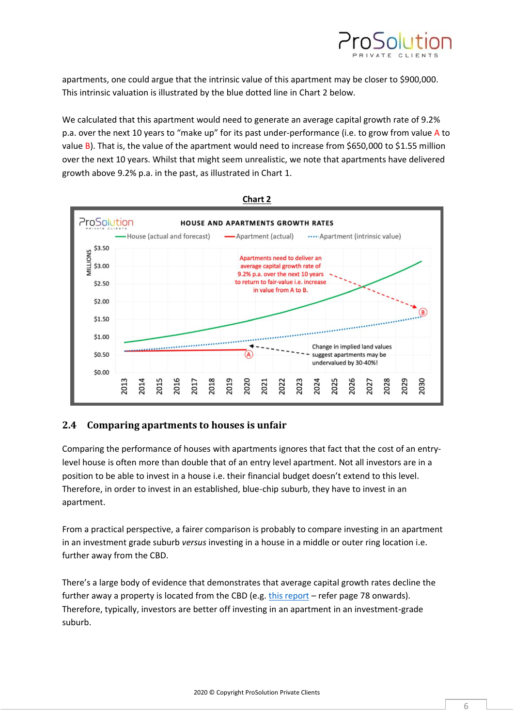

apartments, one could argue that the intrinsic value of this apartment may be closer to \$900,000. This intrinsic valuation is illustrated by the blue dotted line in Chart 2 below.

We calculated that this apartment would need to generate an average capital growth rate of 9.2% p.a. over the next 10 years to "make up" for its past under-performance (i.e. to grow from value A to value B). That is, the value of the apartment would need to increase from \$650,000 to \$1.55 million over the next 10 years. Whilst that might seem unrealistic, we note that apartments have delivered growth above 9.2% p.a. in the past, as illustrated in Chart 1.



#### <span id="page-5-0"></span>**2.4 Comparing apartments to houses is unfair**

Comparing the performance of houses with apartments ignores that fact that the cost of an entrylevel house is often more than double that of an entry level apartment. Not all investors are in a position to be able to invest in a house i.e. their financial budget doesn't extend to this level. Therefore, in order to invest in an established, blue-chip suburb, they have to invest in an apartment.

From a practical perspective, a fairer comparison is probably to compare investing in an apartment in an investment grade suburb *versus* investing in a house in a middle or outer ring location i.e. further away from the CBD.

There's a large body of evidence that demonstrates that average capital growth rates decline the further away a property is located from the CBD (e.g. [this report](https://www.ahuri.edu.au/__data/assets/pdf_file/0007/2050/AHURI_Final_Report_No154_The_benefits_and_risks_of_home_ownership_for_low-moderate_income_households.pdf) – refer page 78 onwards). Therefore, typically, investors are better off investing in an apartment in an investment-grade suburb.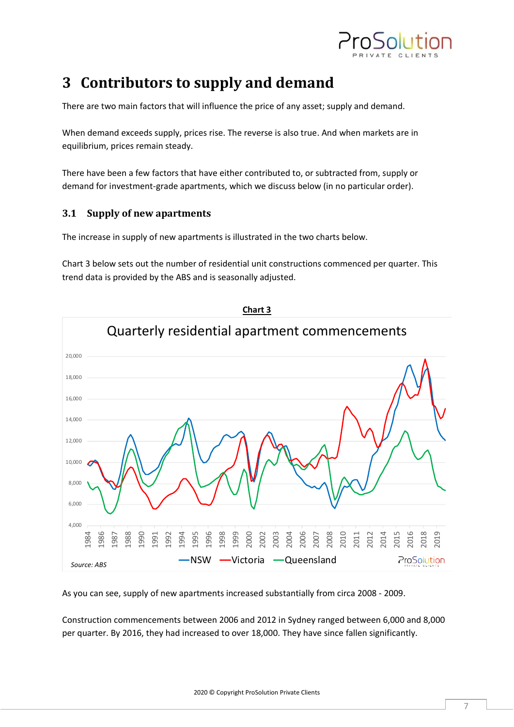

# <span id="page-6-0"></span>**3 Contributors to supply and demand**

There are two main factors that will influence the price of any asset; supply and demand.

When demand exceeds supply, prices rise. The reverse is also true. And when markets are in equilibrium, prices remain steady.

There have been a few factors that have either contributed to, or subtracted from, supply or demand for investment-grade apartments, which we discuss below (in no particular order).

#### <span id="page-6-1"></span>**3.1 Supply of new apartments**

The increase in supply of new apartments is illustrated in the two charts below.

Chart 3 below sets out the number of residential unit constructions commenced per quarter. This trend data is provided by the ABS and is seasonally adjusted.



As you can see, supply of new apartments increased substantially from circa 2008 - 2009.

Construction commencements between 2006 and 2012 in Sydney ranged between 6,000 and 8,000 per quarter. By 2016, they had increased to over 18,000. They have since fallen significantly.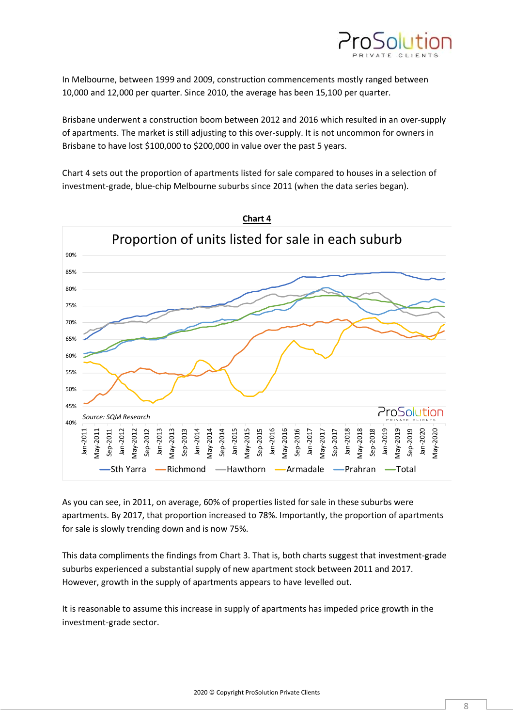

In Melbourne, between 1999 and 2009, construction commencements mostly ranged between 10,000 and 12,000 per quarter. Since 2010, the average has been 15,100 per quarter.

Brisbane underwent a construction boom between 2012 and 2016 which resulted in an over-supply of apartments. The market is still adjusting to this over-supply. It is not uncommon for owners in Brisbane to have lost \$100,000 to \$200,000 in value over the past 5 years.

Chart 4 sets out the proportion of apartments listed for sale compared to houses in a selection of investment-grade, blue-chip Melbourne suburbs since 2011 (when the data series began).



As you can see, in 2011, on average, 60% of properties listed for sale in these suburbs were apartments. By 2017, that proportion increased to 78%. Importantly, the proportion of apartments for sale is slowly trending down and is now 75%.

This data compliments the findings from Chart 3. That is, both charts suggest that investment-grade suburbs experienced a substantial supply of new apartment stock between 2011 and 2017. However, growth in the supply of apartments appears to have levelled out.

It is reasonable to assume this increase in supply of apartments has impeded price growth in the investment-grade sector.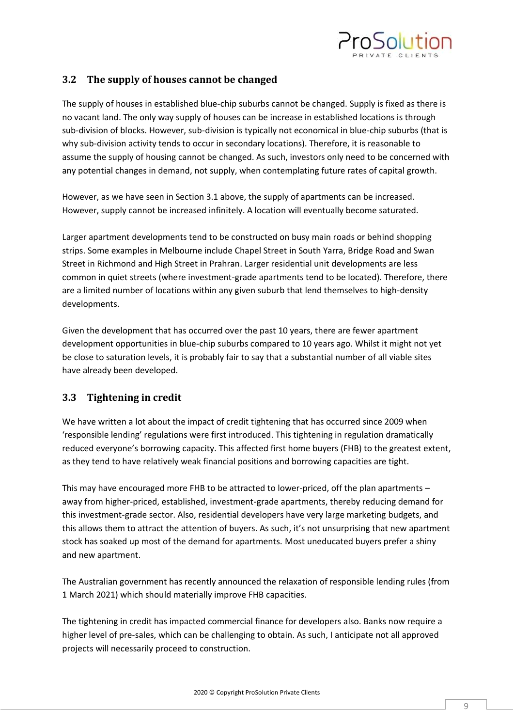

#### <span id="page-8-0"></span>**3.2 The supply of houses cannot be changed**

The supply of houses in established blue-chip suburbs cannot be changed. Supply is fixed as there is no vacant land. The only way supply of houses can be increase in established locations is through sub-division of blocks. However, sub-division is typically not economical in blue-chip suburbs (that is why sub-division activity tends to occur in secondary locations). Therefore, it is reasonable to assume the supply of housing cannot be changed. As such, investors only need to be concerned with any potential changes in demand, not supply, when contemplating future rates of capital growth.

However, as we have seen in Section 3.1 above, the supply of apartments can be increased. However, supply cannot be increased infinitely. A location will eventually become saturated.

Larger apartment developments tend to be constructed on busy main roads or behind shopping strips. Some examples in Melbourne include Chapel Street in South Yarra, Bridge Road and Swan Street in Richmond and High Street in Prahran. Larger residential unit developments are less common in quiet streets (where investment-grade apartments tend to be located). Therefore, there are a limited number of locations within any given suburb that lend themselves to high-density developments.

Given the development that has occurred over the past 10 years, there are fewer apartment development opportunities in blue-chip suburbs compared to 10 years ago. Whilst it might not yet be close to saturation levels, it is probably fair to say that a substantial number of all viable sites have already been developed.

#### <span id="page-8-1"></span>**3.3 Tightening in credit**

We have written a lot about the impact of credit tightening that has occurred since 2009 when 'responsible lending' regulations were first introduced. This tightening in regulation dramatically reduced everyone's borrowing capacity. This affected first home buyers (FHB) to the greatest extent, as they tend to have relatively weak financial positions and borrowing capacities are tight.

This may have encouraged more FHB to be attracted to lower-priced, off the plan apartments – away from higher-priced, established, investment-grade apartments, thereby reducing demand for this investment-grade sector. Also, residential developers have very large marketing budgets, and this allows them to attract the attention of buyers. As such, it's not unsurprising that new apartment stock has soaked up most of the demand for apartments. Most uneducated buyers prefer a shiny and new apartment.

The Australian government has recently announced the relaxation of responsible lending rules (from 1 March 2021) which should materially improve FHB capacities.

The tightening in credit has impacted commercial finance for developers also. Banks now require a higher level of pre-sales, which can be challenging to obtain. As such, I anticipate not all approved projects will necessarily proceed to construction.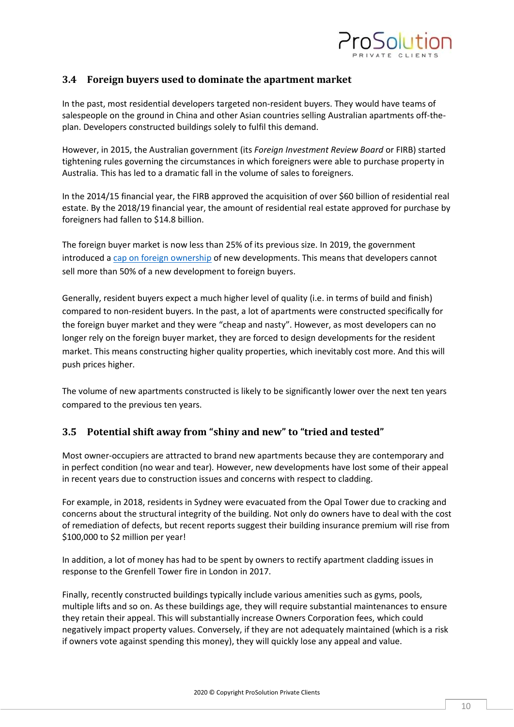

#### <span id="page-9-0"></span>**3.4 Foreign buyers used to dominate the apartment market**

In the past, most residential developers targeted non-resident buyers. They would have teams of salespeople on the ground in China and other Asian countries selling Australian apartments off-theplan. Developers constructed buildings solely to fulfil this demand.

However, in 2015, the Australian government (its *Foreign Investment Review Board* or FIRB) started tightening rules governing the circumstances in which foreigners were able to purchase property in Australia. This has led to a dramatic fall in the volume of sales to foreigners.

In the 2014/15 financial year, the FIRB approved the acquisition of over \$60 billion of residential real estate. By the 2018/19 financial year, the amount of residential real estate approved for purchase by foreigners had fallen to \$14.8 billion.

The foreign buyer market is now less than 25% of its previous size. In 2019, the government introduced a [cap on foreign ownership](https://treasury.gov.au/sites/default/files/2019-03/Stronger-rules-for-foreign-investors-owning-Australian-housing.pdf) of new developments. This means that developers cannot sell more than 50% of a new development to foreign buyers.

Generally, resident buyers expect a much higher level of quality (i.e. in terms of build and finish) compared to non-resident buyers. In the past, a lot of apartments were constructed specifically for the foreign buyer market and they were "cheap and nasty". However, as most developers can no longer rely on the foreign buyer market, they are forced to design developments for the resident market. This means constructing higher quality properties, which inevitably cost more. And this will push prices higher.

The volume of new apartments constructed is likely to be significantly lower over the next ten years compared to the previous ten years.

#### <span id="page-9-1"></span>**3.5 Potential shift away from "shiny and new" to "tried and tested"**

Most owner-occupiers are attracted to brand new apartments because they are contemporary and in perfect condition (no wear and tear). However, new developments have lost some of their appeal in recent years due to construction issues and concerns with respect to cladding.

For example, in 2018, residents in Sydney were evacuated from the Opal Tower due to cracking and concerns about the structural integrity of the building. Not only do owners have to deal with the cost of remediation of defects, but recent reports suggest their building insurance premium will rise from \$100,000 to \$2 million per year!

In addition, a lot of money has had to be spent by owners to rectify apartment cladding issues in response to the Grenfell Tower fire in London in 2017.

Finally, recently constructed buildings typically include various amenities such as gyms, pools, multiple lifts and so on. As these buildings age, they will require substantial maintenances to ensure they retain their appeal. This will substantially increase Owners Corporation fees, which could negatively impact property values. Conversely, if they are not adequately maintained (which is a risk if owners vote against spending this money), they will quickly lose any appeal and value.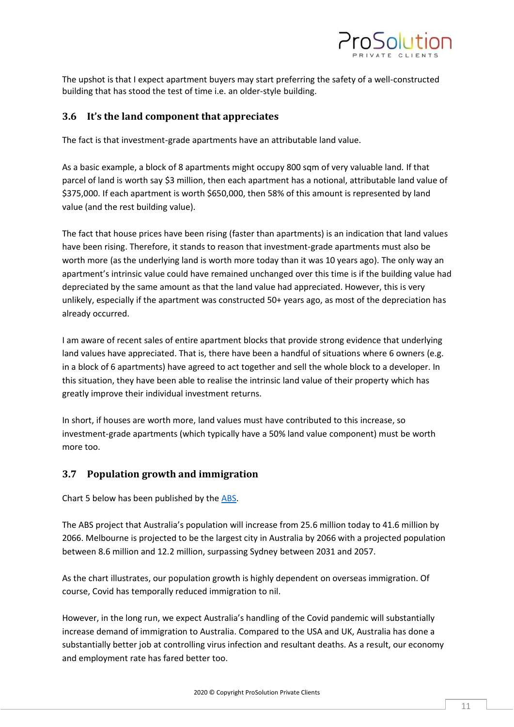

The upshot is that I expect apartment buyers may start preferring the safety of a well-constructed building that has stood the test of time i.e. an older-style building.

#### <span id="page-10-0"></span>**3.6 It's the land component that appreciates**

The fact is that investment-grade apartments have an attributable land value.

As a basic example, a block of 8 apartments might occupy 800 sqm of very valuable land. If that parcel of land is worth say \$3 million, then each apartment has a notional, attributable land value of \$375,000. If each apartment is worth \$650,000, then 58% of this amount is represented by land value (and the rest building value).

The fact that house prices have been rising (faster than apartments) is an indication that land values have been rising. Therefore, it stands to reason that investment-grade apartments must also be worth more (as the underlying land is worth more today than it was 10 years ago). The only way an apartment's intrinsic value could have remained unchanged over this time is if the building value had depreciated by the same amount as that the land value had appreciated. However, this is very unlikely, especially if the apartment was constructed 50+ years ago, as most of the depreciation has already occurred.

I am aware of recent sales of entire apartment blocks that provide strong evidence that underlying land values have appreciated. That is, there have been a handful of situations where 6 owners (e.g. in a block of 6 apartments) have agreed to act together and sell the whole block to a developer. In this situation, they have been able to realise the intrinsic land value of their property which has greatly improve their individual investment returns.

In short, if houses are worth more, land values must have contributed to this increase, so investment-grade apartments (which typically have a 50% land value component) must be worth more too.

#### <span id="page-10-1"></span>**3.7 Population growth and immigration**

Chart 5 below has been published by the [ABS.](https://www.abs.gov.au/statistics/people/population/population-projections-australia/latest-release#national)

The ABS project that Australia's population will increase from 25.6 million today to 41.6 million by 2066. Melbourne is projected to be the largest city in Australia by 2066 with a projected population between 8.6 million and 12.2 million, surpassing Sydney between 2031 and 2057.

As the chart illustrates, our population growth is highly dependent on overseas immigration. Of course, Covid has temporally reduced immigration to nil.

However, in the long run, we expect Australia's handling of the Covid pandemic will substantially increase demand of immigration to Australia. Compared to the USA and UK, Australia has done a substantially better job at controlling virus infection and resultant deaths. As a result, our economy and employment rate has fared better too.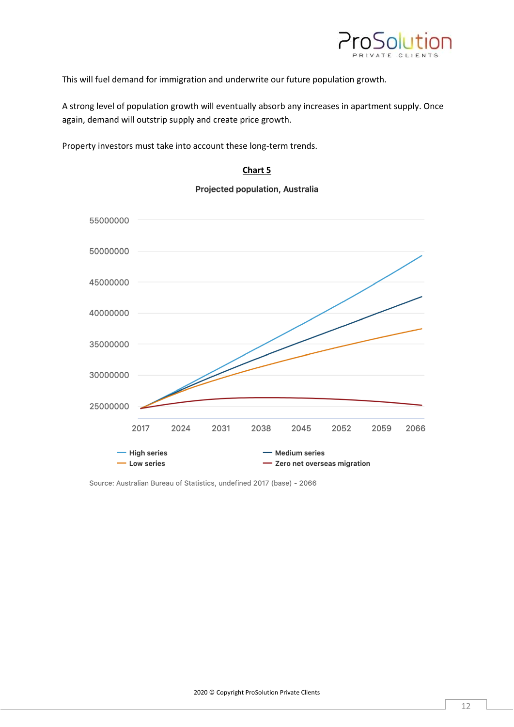

This will fuel demand for immigration and underwrite our future population growth.

A strong level of population growth will eventually absorb any increases in apartment supply. Once again, demand will outstrip supply and create price growth.

Property investors must take into account these long-term trends.

#### **Chart 5**



Projected population, Australia

Source: Australian Bureau of Statistics, undefined 2017 (base) - 2066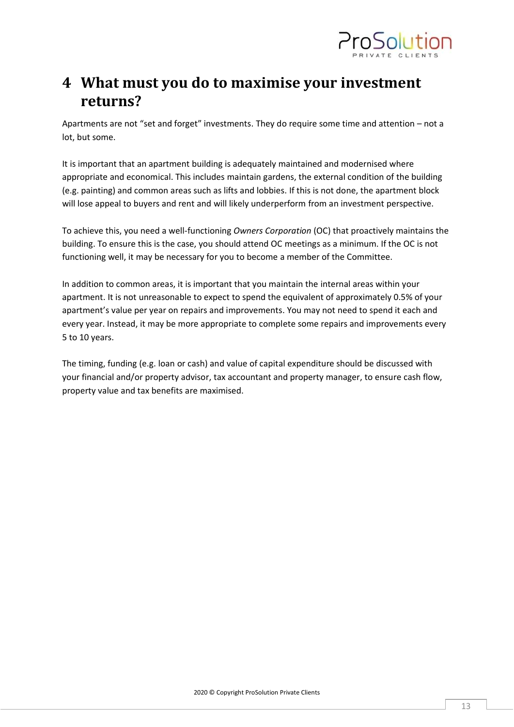

## <span id="page-12-0"></span>**4 What must you do to maximise your investment returns?**

Apartments are not "set and forget" investments. They do require some time and attention – not a lot, but some.

It is important that an apartment building is adequately maintained and modernised where appropriate and economical. This includes maintain gardens, the external condition of the building (e.g. painting) and common areas such as lifts and lobbies. If this is not done, the apartment block will lose appeal to buyers and rent and will likely underperform from an investment perspective.

To achieve this, you need a well-functioning *Owners Corporation* (OC) that proactively maintains the building. To ensure this is the case, you should attend OC meetings as a minimum. If the OC is not functioning well, it may be necessary for you to become a member of the Committee.

In addition to common areas, it is important that you maintain the internal areas within your apartment. It is not unreasonable to expect to spend the equivalent of approximately 0.5% of your apartment's value per year on repairs and improvements. You may not need to spend it each and every year. Instead, it may be more appropriate to complete some repairs and improvements every 5 to 10 years.

The timing, funding (e.g. loan or cash) and value of capital expenditure should be discussed with your financial and/or property advisor, tax accountant and property manager, to ensure cash flow, property value and tax benefits are maximised.